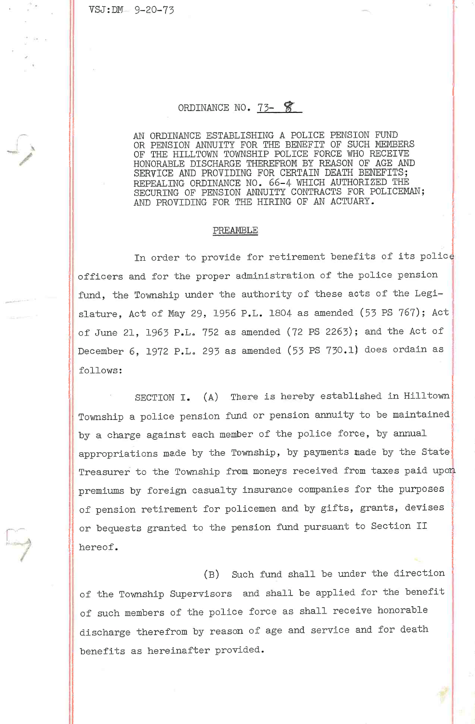VSJ:DM. 9-20-73

## ORDINANCE NO. 73- 8

AN ORDINANCE ESTABLISHING A POLICE PENSION FUND OR PENSION ANNUITY FOR THE BENEFIT OF SUCH MEMBERS OF THE HILLTOWN TOWNSHIP POLICE FORCE WHO RECEIVE HONORABLE DISCHARGE THEREFROM BY REASON OF AGE AND SERVICE AND PROVIDING FOR CERTAIN DEATH BENEFITS; REPEALING ORDINANCE NO. 66-4 WHICH AUTHORIZED THE SECURING OF PENSION ANNUITY CONTRACTS FOR POLICEMAN; AND PROVIDING FOR THE HIRING OF AN ACTUARY.

## PREAMBLE

In order to provide for retirement benefits of its police officers and for the proper administration of the police pension fund, the Township under the authority of these acts of the Legislature, Act of May 29, 1956 P.L. 1804 as amended (53 PS 767); Act of June 21, 1963 P.L. 752 as amended (72 PS 2263); and the Act of December 6, 1972 P,L, 293 as amended (53 PS 730.1) does ordain as follows :

SECTION I. (A) There is hereby established in Hilltown Township a police pension fund or pension annuity to be maintained by a charge against each member of the police force, by annual appropriations made by the Township, by payments made by the State Treasurer to the Township from moneys received from taxes paid upon premiums by foreign casualty insurance companies for the purposes of pension retirement for policemen and by gifts, grants, devises or bequests granted to the pension fund pursuant to Section II hereof.

(B) Such fund shall be under the direction of the Township Supervisors and shall be applied for the benefit of such members of the police force as shall receive honorable discharge therefrom by reason of age and service and for death benefits as hereinafter provided.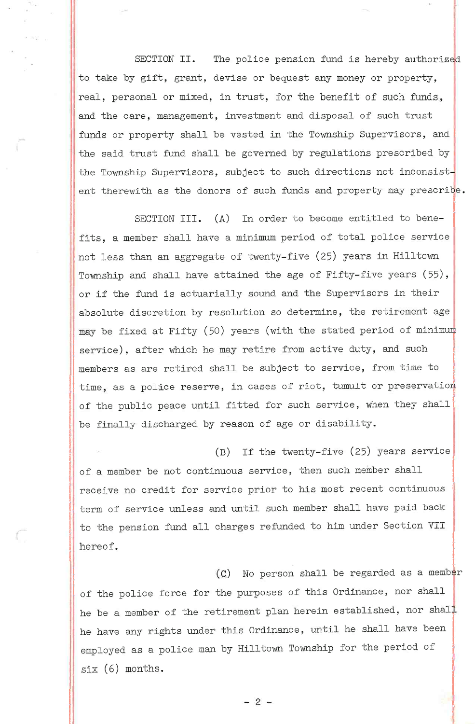SECTION II. The police pension fund is hereby authorized to take by gift, grant, devise or bequest any money or property, real, personal or mixed, in trust, for the benefit of such funds, and the care, management, investment and disposal of such trust funds or property shall be vested in the Township Supervisors, and the said trust fund shall be governed by regulations prescribed by the Township Supervisors, subject to such directions not inconsistent therewith as the donors of such funds and property may prescribe.

SECTION III. (A) In order to become entitled to benefits, a member shall have a minimum period of total police service not less than an aggregate of twenty-five (25) years in Hilltown Township and shall have attained the age of Fifty-five years (55), or if the fund is actuarially sound and the Supervisors in their absolute discretion by resolution so determine, the retirement age may be fixed at Fifty (50) years (with the stated period of minimum service), after which he may retire from active duty, and such members as are retired shall be subject to service, from time to time, as a police reserve, in cases of riot, tumult or preservation of the public peace until fitted for such service, when they shall be finally discharged by reason of age or disability.

(B) If the twenty-five (25) years service of a member be not continuous service, then such member shall receive no credit for service prior to his most recent continuous term of service unless and until such member shall have paid back to the pension fund all charges refunded to him under Section VII hereof.

(C) No person shall be regarded as a member of the police force for the purposes of this Ordinance, nor shall he be a member of the retirement plan herein established, nor shall he have any rights under this Ordinance, until he shall have been employed as a police man by Hilltown Iownship for the period of six (6) months.

 $-2-$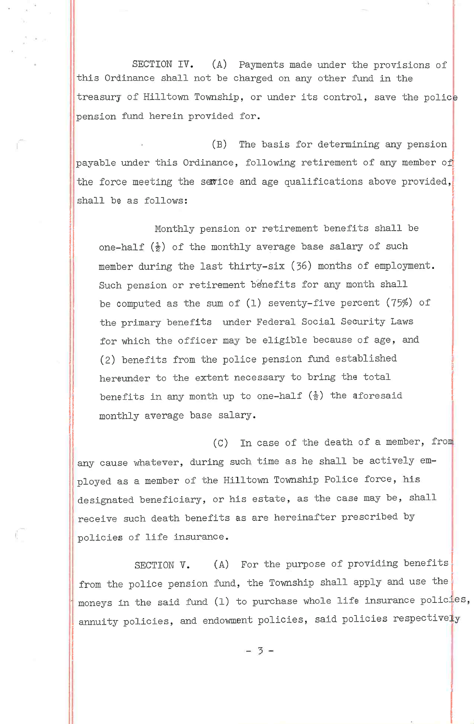SECTION IV. (A) Payments made under the provisions of this Ordinance shall not be charged on any other fund in the treasury of Hilltown Township, or under its control, save the police pension fund herein provided for.

(B) The basis for determining any pension payable under this Ordinance, following retirement of any member of the force meeting the service and age qualifications above provided, shall be as follows:

Monthly pension or retirement benefits shall be one-half  $(\frac{1}{2})$  of the monthly average base salary of such member during the last thirty-six (36) months of employment. Such pension or retirement benefits for any month shall be computed as the sum of (1) seventy-five percent (75%) of the primary benefits under Federal Social Security Laws for which the officer may be eligible because of age, and (2) benefits from the police pension fund established hereunder to the extent necessary to bring the total benefits in any month up to one-half  $(\frac{1}{2})$  the aforesaid monthly average base salary,

(C) In case of the death of a member, fro any cause whatever, during such time as he shall be actively employed as a member of the Hilltown Township Police force, his designated beneficiary, or his estate, as the case may be, shall receive such death benefits as are hereinafter prescribed by policies of life insurance.

SECTION V. (A) For the purpose of providing benefits from the police pension fund, the Township shall apply and use the moneys in the said fund  $(1)$  to purchase whole life insurance policies, annuity policies, and endowment policies, said policies respectively

 $-3-$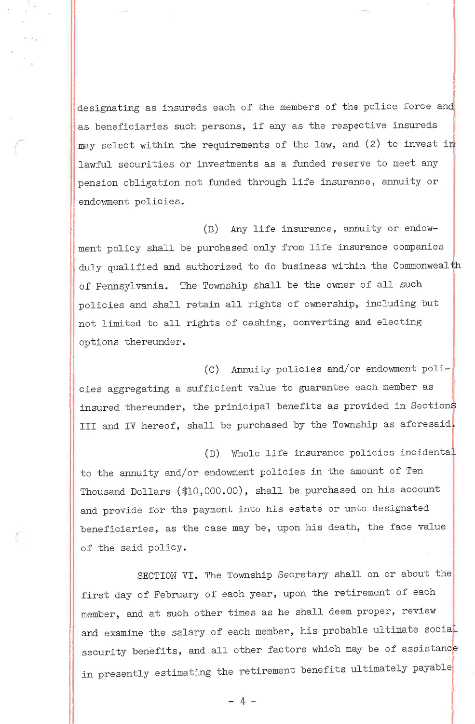designating as insureds each of the members of the police force and as beneficiaries such persons, if any as the respective insureds may select within the requirements of the law, and (2) to invest in lawful securities or investments as a funded reserve to meet any pension obligation not funded through life insurance, annuity or endowment policies.

(B) Any life insurance, annuity or endowment policy shall be purchased only from life insurance companies duly qualified and authorized to do business within the Commonwealth of Pennsylvania, The Township shall be the owner of all such policies and shall retain all rights of ownership, including but not limited to all rights of cashing, converting and electing options thereunder.

(C) Annuity policies and/or endowment policies aggregating a sufficient value to guarantee each member as insured thereunder, the prinicipal benefits as provided in Sections III and IV hereof, shall be purchased by the Township as aforesaid.

(D) Whole life insurance policies inciden

to the annuity and/or endowment policies in the amount of Ten Thousand Dollars  $(\$10,000.00)$ , shall be purchased on his account and provide for the payment into his estate or unto designated beneficiaries, as the case may be, upon his death, the face value of the said policy.

 $\mathbb{I}^-$ 

SECTION VI. The Township Secretary shall on or about the first day of February of each year, upon the retirement of each member, and at such other times as he shall deem proper, review and examine the salary of each member, his probable ultimate social security benefits, and all other factors which may be of assistance in presently estimating the retirement benefits ultimately payable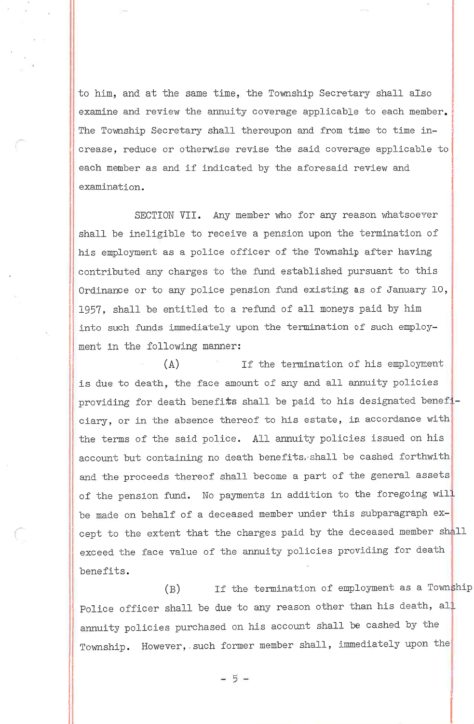to him, and at the same time, the Township Secretary shall also examine and review the annuity coverage applicable to each member, The Township Secretary shall thereupon and from time to time increase, reduce or otherwise revise the said coverage applicable to each member as and if indicated by the aforesaid review and examination.

SECTION VII. Any member who for any reason whatsoever shall be ineligible to receive a pension upon the termination of his employment as a police officer of the Township after having contributed any charges to the fund established pursuant to this Ordinance or to any police pension fund existing as of January 10, 1957, shall be entitled to a refund of all moneys paid by him into such funds immediately upon the termination of such employment in the following manner:

(A) If the termination of his employment is due to death, the face amount of any and all annuity policies providing for death benefits shall be paid to his designated beneficiary, or in the absence thereof to his estate, in accordance with the terms of the said police. All annuity policies issued on his account but containing no death benefits, shall be cashed forthwith and the proceeds thereof shall become a part of the general assets of the pension fund. No payments in addition to the foregoing will be made on behalf of a deceased member under this subparagraph except to the extent that the charges paid by the deceased member shall exceed the face value of the annuity policies providing for death benefits,

 $(B)$  If the termination of employment as a Township Police officer shall be due to any reason other than his death, all annuity policies purchased on his account shall be cashed by the Township. However, such former member shall, immediately upon the

 $-5-$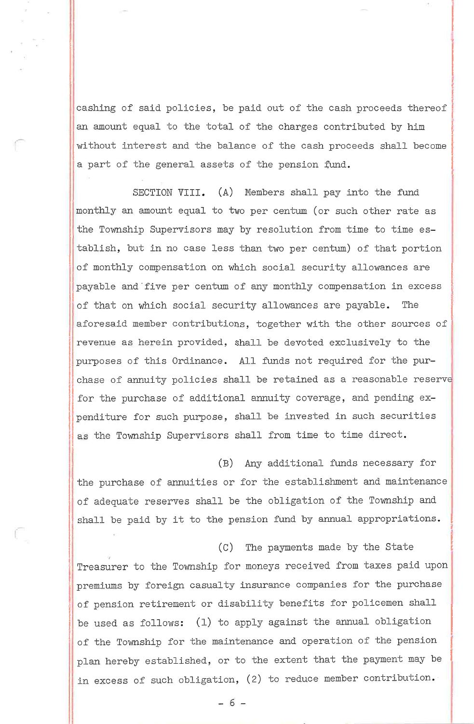cashing of said policies, be paid out of the cash proceeds thereof an amount equal to the total of the charges contributed by him without interest and the balance of the cash proceeds shall become a part of the general assets of the pension fund.

SECTION VIII. (A) Members shall pay into the fund monthly an amount equal to two per centum (or such other rate as the Township Supervisors may by resolution from time to time establish, but in no case less than two per centum) of that portion of monthly compensation on which social security allowances are payable and-five per centum of any monthLy compensation in excess of that on which social security allowances are payable. The aforesaid member contributions, together with the other sources of revenue as herein provided, shall be devoted exclusively to the purposes of this Ordinance. All funds not required for the purchase of annuity policies shall be retained as a reasonable reserve for the purchase of additional annuity coverage, and pending expenditure for such purpose, shall be invested in such securities as the Township Supervisors shall from time to time direct.

(B) Any additional funds necessary for the purchase of annuities or for the establishment and maintenance of adequate reserves shall be the obligation of the Township and shall be paid by it to the pension fund by annual appropriations.

(C) The payments made by the State Treasurer to the Township for moneys received from taxes paid upon premiums by foreign casualty insurance companies for the purchase of pension retirement or disability benefits for policemen shall be used as follows:  $(1)$  to apply against the annual obligation of the Township for the maintenance and operation of the pension plan hereby established, or to the extent that the payment may be in excess of such obligation, (2) to reduce member contribution.

 $-6-$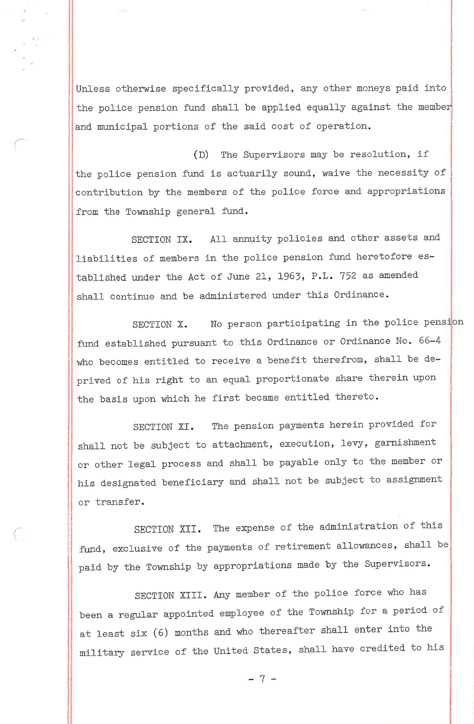Unless otherwise specifically provided, any other moneys paid into the police pension fund shall be applied equally against the member and municipal portions of the said cost of operation.

(D) The Supervisors may be resolution, if the police pension fund is actuarily sound, waive the necessity of contribution by the members of the police force and appropriations from the Township general fund.

SECTION IX. All annuity policies and other assets and liabilities of members in the police pension fund heretofore established under the Act of June 21, 1963, P.L. <sup>752</sup> as amended shall continue and be administered under this Ordinance.

SECTION X. No person participating in the police pension fund established pursuant to this Ordinance or Ordinance No. 66-4 who becomes entitled to receive a benefit therefrom, shall be deprived of his right to an equal proportionate share therein upon the basis upon which he first became entitled thereto.

SECTION XI. The pension payments herein provided for shall not be subject to attachment, execution, levy, garnishment or other legal process and shall be payable only to the member or his designated beneficiary and shall not be subject to assignment or transfer.

SECTION XII. The expense of the administration of this fund, exclusive of the payments of retirement allowances, shall be paid by the Township by appropriations made by the Supervisors.

SECTION XIII. Any member of the police force who has been <sup>a</sup> regular appointed employee of the rownship for <sup>a</sup> period of at least six (6) months and who thereafter shall enter into the military service of the United States, shall have credited to his

 $-7-$